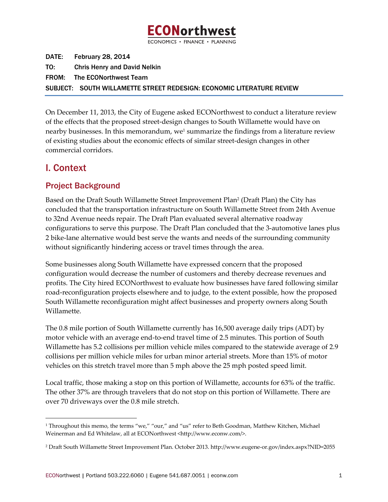

DATE: February 28, 2014 TO: Chris Henry and David Nelkin FROM: The ECONorthwest Team SUBJECT: SOUTH WILLAMETTE STREET REDESIGN: ECONOMIC LITERATURE REVIEW

On December 11, 2013, the City of Eugene asked ECONorthwest to conduct a literature review of the effects that the proposed street‐design changes to South Willamette would have on nearby businesses. In this memorandum, we<sup>1</sup> summarize the findings from a literature review of existing studies about the economic effects of similar street‐design changes in other commercial corridors.

# I. Context

## Project Background

<u> 1989 - Johann Stein, marwolaethau a bh</u>

Based on the Draft South Willamette Street Improvement Plan2 (Draft Plan) the City has concluded that the transportation infrastructure on South Willamette Street from 24th Avenue to 32nd Avenue needs repair. The Draft Plan evaluated several alternative roadway configurations to serve this purpose. The Draft Plan concluded that the 3‐automotive lanes plus 2 bike-lane alternative would best serve the wants and needs of the surrounding community without significantly hindering access or travel times through the area.

Some businesses along South Willamette have expressed concern that the proposed configuration would decrease the number of customers and thereby decrease revenues and profits. The City hired ECONorthwest to evaluate how businesses have fared following similar road‐reconfiguration projects elsewhere and to judge, to the extent possible, how the proposed South Willamette reconfiguration might affect businesses and property owners along South Willamette.

The 0.8 mile portion of South Willamette currently has 16,500 average daily trips (ADT) by motor vehicle with an average end-to-end travel time of 2.5 minutes. This portion of South Willamette has 5.2 collisions per million vehicle miles compared to the statewide average of 2.9 collisions per million vehicle miles for urban minor arterial streets. More than 15% of motor vehicles on this stretch travel more than 5 mph above the 25 mph posted speed limit.

Local traffic, those making a stop on this portion of Willamette, accounts for 63% of the traffic. The other 37% are through travelers that do not stop on this portion of Willamette. There are over 70 driveways over the 0.8 mile stretch.

<sup>&</sup>lt;sup>1</sup> Throughout this memo, the terms "we," "our," and "us" refer to Beth Goodman, Matthew Kitchen, Michael Weinerman and Ed Whitelaw, all at ECONorthwest <http://www.econw.com/>.

<sup>2</sup> Draft South Willamette Street Improvement Plan. October 2013. http://www.eugene‐or.gov/index.aspx?NID=2055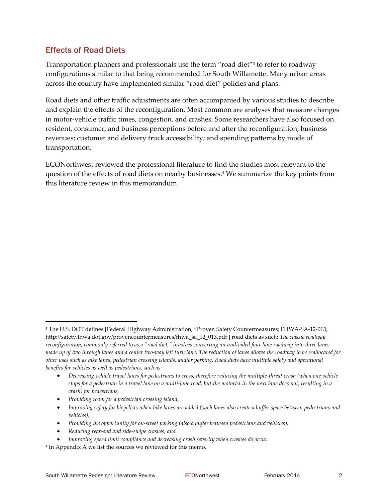## Effects of Road Diets

Transportation planners and professionals use the term "road diet"3 to refer to roadway configurations similar to that being recommended for South Willamette. Many urban areas across the country have implemented similar "road diet" policies and plans.

Road diets and other traffic adjustments are often accompanied by various studies to describe and explain the effects of the reconfiguration. Most common are analyses that measure changes in motor-vehicle traffic times, congestion, and crashes. Some researchers have also focused on resident, consumer, and business perceptions before and after the reconfiguration; business revenues; customer and delivery truck accessibility; and spending patterns by mode of transportation.

ECONorthwest reviewed the professional literature to find the studies most relevant to the question of the effects of road diets on nearby businesses.4 We summarize the key points from this literature review in this memorandum.

- *Providing room for a pedestrian crossing island,*
- Improving safety for bicyclists when bike lanes are added (such lanes also create a buffer space between pedestrians and *vehicles),*
- *Providing the opportunity for on‐street parking (also a buffer between pedestrians and vehicles),*
- *Reducing rear‐end and side‐swipe crashes, and*
- *Improving speed limit compliance and decreasing crash severity when crashes do occur.*

<sup>3</sup> The U.S. DOT defines [Federal Highway Administration; "Proven Safety Countermeasures; FHWA‐SA‐12‐013; http://safety.fhwa.dot.gov/provencountermeasures/fhwa\_sa\_12\_013.pdf ] road diets as such: *The classic roadway* reconfiguration, commonly referred to as a "road diet," involves converting an undivided four lane roadway into three lanes made up of two through lanes and a center two-way left turn lane. The reduction of lanes allows the roadway to be reallocated for other uses such as bike lanes, pedestrian crossing islands, and/or parking. Road diets have multiple safety and operational *benefits for vehicles as well as pedestrians, such as:*

<sup>•</sup> Decreasing vehicle travel lanes for pedestrians to cross, therefore reducing the multiple-threat crash (when one vehicle stops for a pedestrian in a travel lane on a multi-lane road, but the motorist in the next lane does not, resulting in a *crash) for pedestrians,*

<sup>4</sup> In Appendix A we list the sources we reviewed for this memo.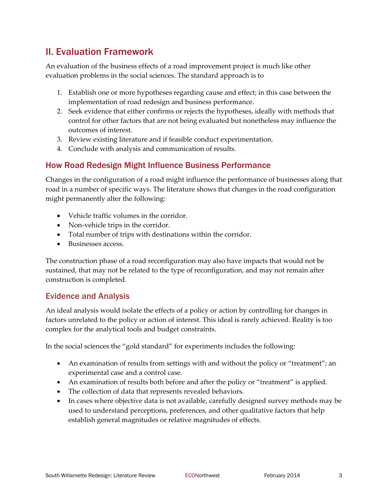# II. Evaluation Framework

An evaluation of the business effects of a road improvement project is much like other evaluation problems in the social sciences. The standard approach is to

- 1. Establish one or more hypotheses regarding cause and effect; in this case between the implementation of road redesign and business performance.
- 2. Seek evidence that either confirms or rejects the hypotheses, ideally with methods that control for other factors that are not being evaluated but nonetheless may influence the outcomes of interest.
- 3. Review existing literature and if feasible conduct experimentation.
- 4. Conclude with analysis and communication of results.

#### How Road Redesign Might Influence Business Performance

Changes in the configuration of a road might influence the performance of businesses along that road in a number of specific ways. The literature shows that changes in the road configuration might permanently alter the following:

- Vehicle traffic volumes in the corridor.
- Non-vehicle trips in the corridor.
- Total number of trips with destinations within the corridor.
- Businesses access.

The construction phase of a road reconfiguration may also have impacts that would not be sustained, that may not be related to the type of reconfiguration, and may not remain after construction is completed.

#### Evidence and Analysis

An ideal analysis would isolate the effects of a policy or action by controlling for changes in factors unrelated to the policy or action of interest. This ideal is rarely achieved. Reality is too complex for the analytical tools and budget constraints.

In the social sciences the "gold standard" for experiments includes the following:

- An examination of results from settings with and without the policy or "treatment"; an experimental case and a control case.
- An examination of results both before and after the policy or "treatment" is applied.
- The collection of data that represents revealed behaviors.
- In cases where objective data is not available, carefully designed survey methods may be used to understand perceptions, preferences, and other qualitative factors that help establish general magnitudes or relative magnitudes of effects.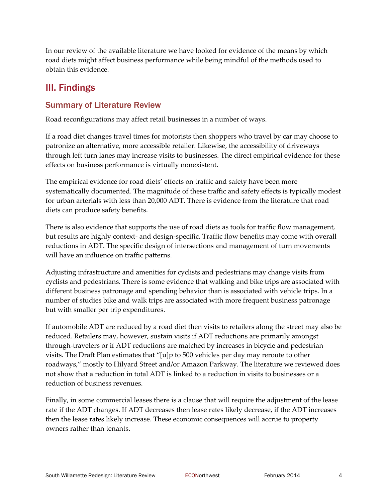In our review of the available literature we have looked for evidence of the means by which road diets might affect business performance while being mindful of the methods used to obtain this evidence.

## III. Findings

## Summary of Literature Review

Road reconfigurations may affect retail businesses in a number of ways.

If a road diet changes travel times for motorists then shoppers who travel by car may choose to patronize an alternative, more accessible retailer. Likewise, the accessibility of driveways through left turn lanes may increase visits to businesses. The direct empirical evidence for these effects on business performance is virtually nonexistent.

The empirical evidence for road diets' effects on traffic and safety have been more systematically documented. The magnitude of these traffic and safety effects is typically modest for urban arterials with less than 20,000 ADT. There is evidence from the literature that road diets can produce safety benefits.

There is also evidence that supports the use of road diets as tools for traffic flow management, but results are highly context‐ and design‐specific. Traffic flow benefits may come with overall reductions in ADT. The specific design of intersections and management of turn movements will have an influence on traffic patterns.

Adjusting infrastructure and amenities for cyclists and pedestrians may change visits from cyclists and pedestrians. There is some evidence that walking and bike trips are associated with different business patronage and spending behavior than is associated with vehicle trips. In a number of studies bike and walk trips are associated with more frequent business patronage but with smaller per trip expenditures.

If automobile ADT are reduced by a road diet then visits to retailers along the street may also be reduced. Retailers may, however, sustain visits if ADT reductions are primarily amongst through‐travelers or if ADT reductions are matched by increases in bicycle and pedestrian visits. The Draft Plan estimates that "[u]p to 500 vehicles per day may reroute to other roadways," mostly to Hilyard Street and/or Amazon Parkway. The literature we reviewed does not show that a reduction in total ADT is linked to a reduction in visits to businesses or a reduction of business revenues.

Finally, in some commercial leases there is a clause that will require the adjustment of the lease rate if the ADT changes. If ADT decreases then lease rates likely decrease, if the ADT increases then the lease rates likely increase. These economic consequences will accrue to property owners rather than tenants.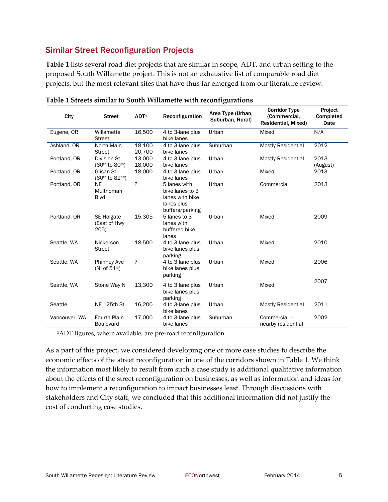## Similar Street Reconfiguration Projects

**Table 1** lists several road diet projects that are similar in scope, ADT, and urban setting to the proposed South Willamette project. This is not an exhaustive list of comparable road diet projects, but the most relevant sites that have thus far emerged from our literature review.

| City          | <b>Street</b>                                   | ADT <sup>1</sup>  | Reconfiguration                                                                     | Area Type (Urban,<br>Suburban, Rural) | <b>Corridor Type</b><br>(Commercial,<br>Residential, Mixed) | Project<br>Completed<br>Date |
|---------------|-------------------------------------------------|-------------------|-------------------------------------------------------------------------------------|---------------------------------------|-------------------------------------------------------------|------------------------------|
| Eugene, OR    | Willamette<br><b>Street</b>                     | 16,500            | 4 to 3-lane plus<br>bike lanes                                                      | Urban                                 | Mixed                                                       | N/A                          |
| Ashland, OR   | North Main<br><b>Street</b>                     | 18.100-<br>20.700 | 4 to 3-lane plus<br>bike lanes                                                      | Suburban                              | <b>Mostly Residential</b>                                   | 2012                         |
| Portland, OR  | <b>Division St</b><br>(60th to 80th)            | 13,000-<br>18,000 | 4 to 3-lane plus<br>bike lanes                                                      | Urban                                 | <b>Mostly Residential</b>                                   | 2013<br>(August)             |
| Portland, OR  | Glisan St<br>(60th to 82nd)                     | 18,000            | 4 to 3-lane plus<br>bike lanes                                                      | Urban                                 | Mixed                                                       | 2013                         |
| Portland, OR  | <b>NE</b><br>Multnomah<br><b>B</b> lvd          | ?                 | 5 lanes with<br>bike lanes to 3<br>lanes with bike<br>lanes plus<br>buffers/parking | Urban                                 | Commercial                                                  | 2013                         |
| Portland, OR  | <b>SE Holgate</b><br>(East of Hwy<br>205)       | 15,305            | 5 lanes to 3<br>lanes with<br>buffered bike<br>lanes                                | Urban                                 | Mixed                                                       | 2009                         |
| Seattle, WA   | Nickerson<br><b>Street</b>                      | 18,500            | 4 to 3-lane plus<br>bike lanes plus<br>parking                                      | Urban                                 | Mixed                                                       | 2010                         |
| Seattle, WA   | <b>Phinney Ave</b><br>(N. of 51 <sup>st</sup> ) | ?                 | 4 to 3 lane plus<br>bike lanes plus<br>parking                                      | Urban                                 | Mixed                                                       | 2006                         |
| Seattle, WA   | Stone Way N                                     | 13,300            | 4 to 3 lane plus<br>bike lanes plus<br>parking                                      | Urban                                 | Mixed                                                       | 2007                         |
| Seattle       | NE 125th St                                     | 16,200            | 4 to 3-lane plus<br>bike lanes                                                      | Urban                                 | <b>Mostly Residential</b>                                   | 2011                         |
| Vancouver, WA | <b>Fourth Plain</b><br><b>Boulevard</b>         | 17,000            | 4 to 3-lane plus<br>bike lanes                                                      | Suburban                              | Commercial -<br>nearby residential                          | 2002                         |

**Table 1 Streets similar to South Willamette with reconfigurations** 

<sup>1</sup>ADT figures, where available, are pre-road reconfiguration.

As a part of this project, we considered developing one or more case studies to describe the economic effects of the street reconfiguration in one of the corridors shown in Table 1. We think the information most likely to result from such a case study is additional qualitative information about the effects of the street reconfiguration on businesses, as well as information and ideas for how to implement a reconfiguration to impact businesses least. Through discussions with stakeholders and City staff, we concluded that this additional information did not justify the cost of conducting case studies.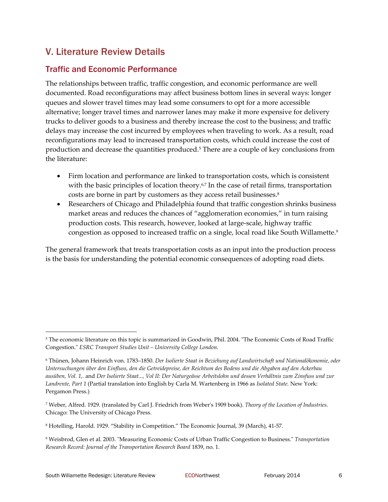# V. Literature Review Details

### Traffic and Economic Performance

The relationships between traffic, traffic congestion, and economic performance are well documented. Road reconfigurations may affect business bottom lines in several ways: longer queues and slower travel times may lead some consumers to opt for a more accessible alternative; longer travel times and narrower lanes may make it more expensive for delivery trucks to deliver goods to a business and thereby increase the cost to the business; and traffic delays may increase the cost incurred by employees when traveling to work. As a result, road reconfigurations may lead to increased transportation costs, which could increase the cost of production and decrease the quantities produced.<sup>5</sup> There are a couple of key conclusions from the literature:

- Firm location and performance are linked to transportation costs, which is consistent with the basic principles of location theory.<sup>6,7</sup> In the case of retail firms, transportation costs are borne in part by customers as they access retail businesses.<sup>8</sup>
- Researchers of Chicago and Philadelphia found that traffic congestion shrinks business market areas and reduces the chances of "agglomeration economies," in turn raising production costs. This research, however, looked at large-scale, highway traffic congestion as opposed to increased traffic on a single, local road like South Willamette.<sup>9</sup>

The general framework that treats transportation costs as an input into the production process is the basis for understanding the potential economic consequences of adopting road diets.

<u> 1989 - Johann Stein, marwolaethau a bhann an t-Amhair Aonaichte an t-Amhair Aonaichte an t-Amhair Aonaichte a</u>

<sup>&</sup>lt;sup>5</sup> The economic literature on this topic is summarized in Goodwin, Phil. 2004. "The Economic Costs of Road Traffic Congestion.ʺ *ESRC Transport Studies Unit – University College London.* 

<sup>6</sup> Thünen, Johann Heinrich von. 1783–1850. *Der Isolierte Staat in Beziehung auf Landwirtschaft und Nationalökonomie, oder* Untersuchungen über den Einfluss, den die Getreidepreise, der Reichtum des Bodens und die Abgaben auf den Ackerbau ausüben, Vol. 1,. and Der Isolierte Staat..., Vol II: Der Naturgeässe Arbeitslohn und dessen Verhältnis zum Zinsfuss und zur *Landrente, Part 1* (Partial translation into English by Carla M. Wartenberg in 1966 as *Isolated State.* New York: Pergamon Press.)

<sup>7</sup> Weber, Alfred. 1929. (translated by Carl J. Friedrich from Weberʹs 1909 book). *Theory of the Location of Industries*. Chicago: The University of Chicago Press.

<sup>8</sup> Hotelling, Harold. 1929. "Stability in Competition." The Economic Journal, 39 (March), 41‐57.

<sup>&</sup>lt;sup>9</sup> Weisbrod, Glen et al. 2003. "Measuring Economic Costs of Urban Traffic Congestion to Business." Transportation *Research Record: Journal of the Transportation Research Board* 1839, no. 1.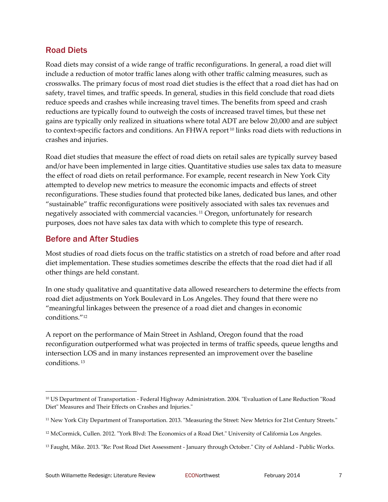#### Road Diets

Road diets may consist of a wide range of traffic reconfigurations. In general, a road diet will include a reduction of motor traffic lanes along with other traffic calming measures, such as crosswalks. The primary focus of most road diet studies is the effect that a road diet has had on safety, travel times, and traffic speeds. In general, studies in this field conclude that road diets reduce speeds and crashes while increasing travel times. The benefits from speed and crash reductions are typically found to outweigh the costs of increased travel times, but these net gains are typically only realized in situations where total ADT are below 20,000 and are subject to context-specific factors and conditions. An FHWA report<sup>10</sup> links road diets with reductions in crashes and injuries.

Road diet studies that measure the effect of road diets on retail sales are typically survey based and/or have been implemented in large cities. Quantitative studies use sales tax data to measure the effect of road diets on retail performance. For example, recent research in New York City attempted to develop new metrics to measure the economic impacts and effects of street reconfigurations. These studies found that protected bike lanes, dedicated bus lanes, and other "sustainable" traffic reconfigurations were positively associated with sales tax revenues and negatively associated with commercial vacancies. <sup>11</sup> Oregon, unfortunately for research purposes, does not have sales tax data with which to complete this type of research.

#### Before and After Studies

Most studies of road diets focus on the traffic statistics on a stretch of road before and after road diet implementation. These studies sometimes describe the effects that the road diet had if all other things are held constant.

In one study qualitative and quantitative data allowed researchers to determine the effects from road diet adjustments on York Boulevard in Los Angeles. They found that there were no "meaningful linkages between the presence of a road diet and changes in economic conditions."12

A report on the performance of Main Street in Ashland, Oregon found that the road reconfiguration outperformed what was projected in terms of traffic speeds, queue lengths and intersection LOS and in many instances represented an improvement over the baseline conditions. <sup>13</sup>

<sup>&</sup>lt;sup>10</sup> US Department of Transportation - Federal Highway Administration. 2004. "Evaluation of Lane Reduction "Road Diet" Measures and Their Effects on Crashes and Injuries."

<sup>&</sup>lt;sup>11</sup> New York City Department of Transportation. 2013. "Measuring the Street: New Metrics for 21st Century Streets."

<sup>&</sup>lt;sup>12</sup> McCormick, Cullen. 2012. "York Blvd: The Economics of a Road Diet." University of California Los Angeles.

<sup>&</sup>lt;sup>13</sup> Faught, Mike. 2013. "Re: Post Road Diet Assessment - January through October." City of Ashland - Public Works.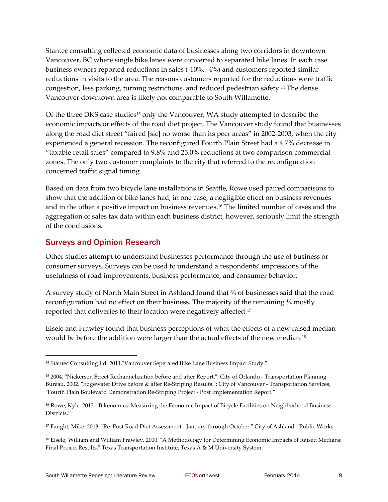Stantec consulting collected economic data of businesses along two corridors in downtown Vancouver, BC where single bike lanes were converted to separated bike lanes. In each case business owners reported reductions in sales (‐10%, ‐4%) and customers reported similar reductions in visits to the area. The reasons customers reported for the reductions were traffic congestion, less parking, turning restrictions, and reduced pedestrian safety.14 The dense Vancouver downtown area is likely not comparable to South Willamette.

Of the three DKS case studies<sup>15</sup> only the Vancouver, WA study attempted to describe the economic impacts or effects of the road diet project. The Vancouver study found that businesses along the road diet street "faired [sic] no worse than its peer areas" in 2002‐2003, when the city experienced a general recession. The reconfigured Fourth Plain Street had a 4.7% decrease in "taxable retail sales" compared to 9.8% and 25.0% reductions at two comparison commercial zones. The only two customer complaints to the city that referred to the reconfiguration concerned traffic signal timing.

Based on data from two bicycle lane installations in Seattle, Rowe used paired comparisons to show that the addition of bike lanes had, in one case, a negligible effect on business revenues and in the other a positive impact on business revenues.16 The limited number of cases and the aggregation of sales tax data within each business district, however, seriously limit the strength of the conclusions.

### Surveys and Opinion Research

Other studies attempt to understand businesses performance through the use of business or consumer surveys. Surveys can be used to understand a respondents' impressions of the usefulness of road improvements, business performance, and consumer behavior.

A survey study of North Main Street in Ashland found that ¾ of businesses said that the road reconfiguration had no effect on their business. The majority of the remaining  $\frac{1}{4}$  mostly reported that deliveries to their location were negatively affected.<sup>17</sup>

Eisele and Frawley found that business perceptions of what the effects of a new raised median would be before the addition were larger than the actual effects of the new median.18

<sup>&</sup>lt;sup>14</sup> Stantec Consulting ltd. 2011. "Vancouver Seperated Bike Lane Business Impact Study."

<sup>&</sup>lt;sup>15</sup> 2004. "Nickerson Street Rechannelization before and after Report."; City of Orlando - Transportation Planning Bureau. 2002. "Edgewater Drive before & after Re-Striping Results."; City of Vancouver - Transportation Services, ʺFourth Plain Boulevard Demonstration Re‐Striping Project ‐ Post Implementation Report."

<sup>&</sup>lt;sup>16</sup> Rowe, Kyle. 2013. "Bikenomics: Measuring the Economic Impact of Bicycle Facilities on Neighborhood Business Districts."

<sup>&</sup>lt;sup>17</sup> Faught, Mike. 2013. "Re: Post Road Diet Assessment - January through October." City of Ashland - Public Works.

<sup>&</sup>lt;sup>18</sup> Eisele, William and William Frawley. 2000. "A Methodology for Determining Economic Impacts of Raised Medians: Final Project Results." Texas Transportation Institute, Texas A & M University System.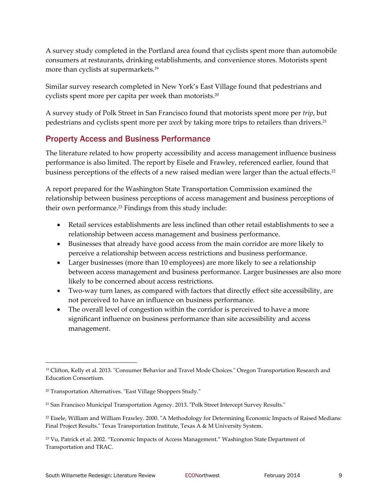A survey study completed in the Portland area found that cyclists spent more than automobile consumers at restaurants, drinking establishments, and convenience stores. Motorists spent more than cyclists at supermarkets.19

Similar survey research completed in New York's East Village found that pedestrians and cyclists spent more per capita per week than motorists.20

A survey study of Polk Street in San Francisco found that motorists spent more per *trip*, but pedestrians and cyclists spent more per *week* by taking more trips to retailers than drivers.21

### Property Access and Business Performance

The literature related to how property accessibility and access management influence business performance is also limited. The report by Eisele and Frawley, referenced earlier, found that business perceptions of the effects of a new raised median were larger than the actual effects.<sup>22</sup>

A report prepared for the Washington State Transportation Commission examined the relationship between business perceptions of access management and business perceptions of their own performance.<sup>23</sup> Findings from this study include:

- Retail services establishments are less inclined than other retail establishments to see a relationship between access management and business performance.
- Businesses that already have good access from the main corridor are more likely to perceive a relationship between access restrictions and business performance.
- Larger businesses (more than 10 employees) are more likely to see a relationship between access management and business performance. Larger businesses are also more likely to be concerned about access restrictions.
- Two-way turn lanes, as compared with factors that directly effect site accessibility, are not perceived to have an influence on business performance.
- The overall level of congestion within the corridor is perceived to have a more significant influence on business performance than site accessibility and access management.

<sup>&</sup>lt;sup>19</sup> Clifton, Kelly et al. 2013. "Consumer Behavior and Travel Mode Choices." Oregon Transportation Research and Education Consortium.

<sup>&</sup>lt;sup>20</sup> Transportation Alternatives. "East Village Shoppers Study."

<sup>&</sup>lt;sup>21</sup> San Francisco Municipal Transportation Agency. 2013. "Polk Street Intercept Survey Results."

<sup>&</sup>lt;sup>22</sup> Eisele, William and William Frawley. 2000. "A Methodology for Determining Economic Impacts of Raised Medians: Final Project Results." Texas Transportation Institute, Texas A & M University System.

<sup>23</sup> Vu, Patrick et al. 2002. "Economic Impacts of Access Management." Washington State Department of Transportation and TRAC.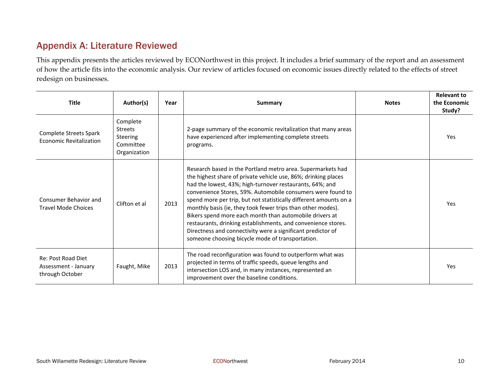# Appendix A: Literature Reviewed

This appendix presents the articles reviewed by ECONorthwest in this project. It includes <sup>a</sup> brief summary of the repor<sup>t</sup> and an assessment of how the article fits into the economic analysis. Our review of articles focused on economic issues directly related to the effects of street redesign on businesses.

| <b>Title</b>                                                         | Author(s)                                                                  | Year | <b>Summary</b>                                                                                                                                                                                                                                                                                                                                                                                                                                                                                                                                                                                                                              | <b>Notes</b> | <b>Relevant to</b><br>the Economic<br>Study? |
|----------------------------------------------------------------------|----------------------------------------------------------------------------|------|---------------------------------------------------------------------------------------------------------------------------------------------------------------------------------------------------------------------------------------------------------------------------------------------------------------------------------------------------------------------------------------------------------------------------------------------------------------------------------------------------------------------------------------------------------------------------------------------------------------------------------------------|--------------|----------------------------------------------|
| Complete Streets Spark<br>Economic Revitalization                    | Complete<br><b>Streets</b><br><b>Steering</b><br>Committee<br>Organization |      | 2-page summary of the economic revitalization that many areas<br>have experienced after implementing complete streets<br>programs.                                                                                                                                                                                                                                                                                                                                                                                                                                                                                                          |              | <b>Yes</b>                                   |
| Consumer Behavior and<br><b>Travel Mode Choices</b>                  | Clifton et al                                                              | 2013 | Research based in the Portland metro area. Supermarkets had<br>the highest share of private vehicle use, 86%; drinking places<br>had the lowest, 43%; high-turnover restaurants, 64%; and<br>convenience Stores, 59%. Automobile consumers were found to<br>spend more per trip, but not statistically different amounts on a<br>monthly basis (ie, they took fewer trips than other modes).<br>Bikers spend more each month than automobile drivers at<br>restaurants, drinking establishments, and convenience stores.<br>Directness and connectivity were a significant predictor of<br>someone choosing bicycle mode of transportation. |              | Yes                                          |
| <b>Re: Post Road Diet</b><br>Assessment - January<br>through October | Faught, Mike                                                               | 2013 | The road reconfiguration was found to outperform what was<br>projected in terms of traffic speeds, queue lengths and<br>intersection LOS and, in many instances, represented an<br>improvement over the baseline conditions.                                                                                                                                                                                                                                                                                                                                                                                                                |              | <b>Yes</b>                                   |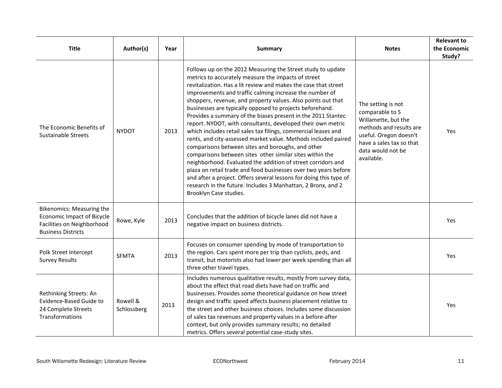| <b>Title</b>                                                                                                       | Author(s)               | Year | <b>Summary</b>                                                                                                                                                                                                                                                                                                                                                                                                                                                                                                                                                                                                                                                                                                                                                                                                                                                                                                                                                                                                                                                      | <b>Notes</b>                                                                                                                                                                     | <b>Relevant to</b><br>the Economic<br>Study? |
|--------------------------------------------------------------------------------------------------------------------|-------------------------|------|---------------------------------------------------------------------------------------------------------------------------------------------------------------------------------------------------------------------------------------------------------------------------------------------------------------------------------------------------------------------------------------------------------------------------------------------------------------------------------------------------------------------------------------------------------------------------------------------------------------------------------------------------------------------------------------------------------------------------------------------------------------------------------------------------------------------------------------------------------------------------------------------------------------------------------------------------------------------------------------------------------------------------------------------------------------------|----------------------------------------------------------------------------------------------------------------------------------------------------------------------------------|----------------------------------------------|
| The Economic Benefits of<br>Sustainable Streets                                                                    | <b>NYDOT</b>            | 2013 | Follows up on the 2012 Measuring the Street study to update<br>metrics to accurately measure the impacts of street<br>revitalization. Has a lit review and makes the case that street<br>improvements and traffic calming increase the number of<br>shoppers, revenue, and property values. Also points out that<br>businesses are typically opposed to projects beforehand.<br>Provides a summary of the biases present in the 2011 Stantec<br>report. NYDOT, with consultants, developed their own metric<br>which includes retail sales tax filings, commercial leases and<br>rents, and city-assessed market value. Methods included paired<br>comparisons between sites and boroughs, and other<br>comparisons between sites other similar sites within the<br>neighborhood. Evaluated the addition of street corridors and<br>plaza on retail trade and food businesses over two years before<br>and after a project. Offers several lessons for doing this type of<br>research in the future. Includes 3 Manhattan, 2 Bronx, and 2<br>Brooklyn Case studies. | The setting is not<br>comparable to S<br>Willamette, but the<br>methods and results are<br>useful. Oregon doesn't<br>have a sales tax so that<br>data would not be<br>available. | <b>Yes</b>                                   |
| Bikenomics: Measuring the<br>Economic Impact of Bicycle<br>Facilities on Neighborhood<br><b>Business Districts</b> | Rowe, Kyle              | 2013 | Concludes that the addition of bicycle lanes did not have a<br>negative impact on business districts.                                                                                                                                                                                                                                                                                                                                                                                                                                                                                                                                                                                                                                                                                                                                                                                                                                                                                                                                                               |                                                                                                                                                                                  | Yes.                                         |
| Polk Street Intercept<br><b>Survey Results</b>                                                                     | <b>SFMTA</b>            | 2013 | Focuses on consumer spending by mode of transportation to<br>the region. Cars spent more per trip than cyclists, peds, and<br>transit, but motorists also had lower per week spending than all<br>three other travel types.                                                                                                                                                                                                                                                                                                                                                                                                                                                                                                                                                                                                                                                                                                                                                                                                                                         |                                                                                                                                                                                  | Yes                                          |
| Rethinking Streets: An<br>Evidence-Based Guide to<br>24 Complete Streets<br>Transformations                        | Rowell &<br>Schlossberg | 2013 | Includes numerous qualitative results, mostly from survey data,<br>about the effect that road diets have had on traffic and<br>businesses. Provides some theoretical guidance on how street<br>design and traffic speed affects business placement relative to<br>the street and other business choices. Includes some discussion<br>of sales tax revenues and property values in a before-after<br>context, but only provides summary results; no detailed<br>metrics. Offers several potential case-study sites.                                                                                                                                                                                                                                                                                                                                                                                                                                                                                                                                                  |                                                                                                                                                                                  | Yes                                          |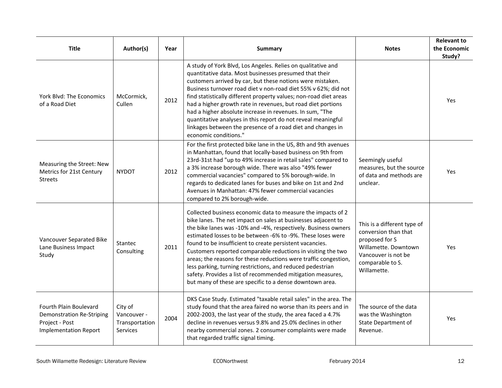| <b>Title</b>                                                                                                 | Author(s)                                                   | Year | <b>Summary</b>                                                                                                                                                                                                                                                                                                                                                                                                                                                                                                                                                                                                                                          | <b>Notes</b>                                                                                                                                            | <b>Relevant to</b><br>the Economic<br>Study? |
|--------------------------------------------------------------------------------------------------------------|-------------------------------------------------------------|------|---------------------------------------------------------------------------------------------------------------------------------------------------------------------------------------------------------------------------------------------------------------------------------------------------------------------------------------------------------------------------------------------------------------------------------------------------------------------------------------------------------------------------------------------------------------------------------------------------------------------------------------------------------|---------------------------------------------------------------------------------------------------------------------------------------------------------|----------------------------------------------|
| York Blvd: The Economics<br>of a Road Diet                                                                   | McCormick,<br>Cullen                                        | 2012 | A study of York Blvd, Los Angeles. Relies on qualitative and<br>quantitative data. Most businesses presumed that their<br>customers arrived by car, but these notions were mistaken.<br>Business turnover road diet v non-road diet 55% v 62%; did not<br>find statistically different property values; non-road diet areas<br>had a higher growth rate in revenues, but road diet portions<br>had a higher absolute increase in revenues. In sum, "The<br>quantitative analyses in this report do not reveal meaningful<br>linkages between the presence of a road diet and changes in<br>economic conditions."                                        |                                                                                                                                                         | Yes                                          |
| Measuring the Street: New<br>Metrics for 21st Century<br><b>Streets</b>                                      | <b>NYDOT</b>                                                | 2012 | For the first protected bike lane in the US, 8th and 9th avenues<br>in Manhattan, found that locally-based business on 9th from<br>23rd-31st had "up to 49% increase in retail sales" compared to<br>a 3% increase borough wide. There was also "49% fewer<br>commercial vacancies" compared to 5% borough-wide. In<br>regards to dedicated lanes for buses and bike on 1st and 2nd<br>Avenues in Manhattan: 47% fewer commercial vacancies<br>compared to 2% borough-wide.                                                                                                                                                                             | Seemingly useful<br>measures, but the source<br>of data and methods are<br>unclear.                                                                     | Yes                                          |
| Vancouver Separated Bike<br>Lane Business Impact<br>Study                                                    | Stantec<br>Consulting                                       | 2011 | Collected business economic data to measure the impacts of 2<br>bike lanes. The net impact on sales at businesses adjacent to<br>the bike lanes was -10% and -4%, respectively. Business owners<br>estimated losses to be between -6% to -9%. These loses were<br>found to be insufficient to create persistent vacancies.<br>Customers reported comparable reductions in visiting the two<br>areas; the reasons for these reductions were traffic congestion,<br>less parking, turning restrictions, and reduced pedestrian<br>safety. Provides a list of recommended mitigation measures,<br>but many of these are specific to a dense downtown area. | This is a different type of<br>conversion than that<br>proposed for S<br>Willamette. Downtown<br>Vancouver is not be<br>comparable to S.<br>Willamette. | Yes                                          |
| Fourth Plain Boulevard<br><b>Demonstration Re-Striping</b><br>Project - Post<br><b>Implementation Report</b> | City of<br>Vancouver -<br>Transportation<br><b>Services</b> | 2004 | DKS Case Study. Estimated "taxable retail sales" in the area. The<br>study found that the area faired no worse than its peers and in<br>2002-2003, the last year of the study, the area faced a 4.7%<br>decline in revenues versus 9.8% and 25.0% declines in other<br>nearby commercial zones. 2 consumer complaints were made<br>that regarded traffic signal timing.                                                                                                                                                                                                                                                                                 | The source of the data<br>was the Washington<br>State Department of<br>Revenue.                                                                         | Yes                                          |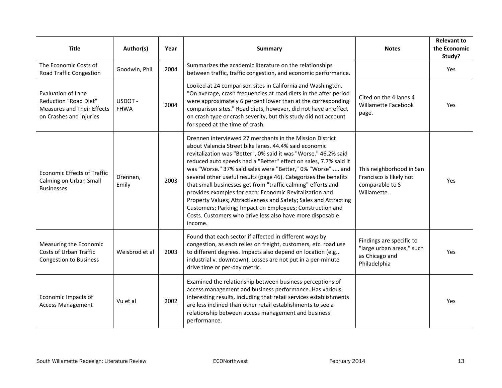| <b>Title</b>                                                                                                              | Author(s)             | Year | Summary                                                                                                                                                                                                                                                                                                                                                                                                                                                                                                                                                                                                                                                                                                                        | <b>Notes</b>                                                                            | <b>Relevant to</b><br>the Economic<br>Study? |
|---------------------------------------------------------------------------------------------------------------------------|-----------------------|------|--------------------------------------------------------------------------------------------------------------------------------------------------------------------------------------------------------------------------------------------------------------------------------------------------------------------------------------------------------------------------------------------------------------------------------------------------------------------------------------------------------------------------------------------------------------------------------------------------------------------------------------------------------------------------------------------------------------------------------|-----------------------------------------------------------------------------------------|----------------------------------------------|
| The Economic Costs of<br><b>Road Traffic Congestion</b>                                                                   | Goodwin, Phil         | 2004 | Summarizes the academic literature on the relationships<br>between traffic, traffic congestion, and economic performance.                                                                                                                                                                                                                                                                                                                                                                                                                                                                                                                                                                                                      |                                                                                         | Yes                                          |
| <b>Evaluation of Lane</b><br><b>Reduction "Road Diet"</b><br><b>Measures and Their Effects</b><br>on Crashes and Injuries | USDOT-<br><b>FHWA</b> | 2004 | Looked at 24 comparison sites in California and Washington.<br>"On average, crash frequencies at road diets in the after period<br>were approximately 6 percent lower than at the corresponding<br>comparison sites." Road diets, however, did not have an effect<br>on crash type or crash severity, but this study did not account<br>for speed at the time of crash.                                                                                                                                                                                                                                                                                                                                                        | Cited on the 4 lanes 4<br>Willamette Facebook<br>page.                                  | Yes                                          |
| <b>Economic Effects of Traffic</b><br>Calming on Urban Small<br><b>Businesses</b>                                         | Drennen,<br>Emily     | 2003 | Drennen interviewed 27 merchants in the Mission District<br>about Valencia Street bike lanes, 44.4% said economic<br>revitalization was "Better", 0% said it was "Worse." 46.2% said<br>reduced auto speeds had a "Better" effect on sales, 7.7% said it<br>was "Worse." 37% said sales were "Better," 0% "Worse"  and<br>several other useful results (page 46). Categorizes the benefits<br>that small businesses get from "traffic calming" efforts and<br>provides examples for each: Economic Revitalization and<br>Property Values; Attractiveness and Safety; Sales and Attracting<br>Customers; Parking; Impact on Employees; Construction and<br>Costs. Customers who drive less also have more disposable<br>income. | This neighborhood in San<br>Francisco is likely not<br>comparable to S<br>Willamette.   | Yes                                          |
| Measuring the Economic<br>Costs of Urban Traffic<br><b>Congestion to Business</b>                                         | Weisbrod et al        | 2003 | Found that each sector if affected in different ways by<br>congestion, as each relies on freight, customers, etc. road use<br>to different degrees. Impacts also depend on location (e.g.,<br>industrial v. downtown). Losses are not put in a per-minute<br>drive time or per-day metric.                                                                                                                                                                                                                                                                                                                                                                                                                                     | Findings are specific to<br>"large urban areas," such<br>as Chicago and<br>Philadelphia | Yes                                          |
| Economic Impacts of<br><b>Access Management</b>                                                                           | Vu et al              | 2002 | Examined the relationship between business perceptions of<br>access management and business performance. Has various<br>interesting results, including that retail services establishments<br>are less inclined than other retail establishments to see a<br>relationship between access management and business<br>performance.                                                                                                                                                                                                                                                                                                                                                                                               |                                                                                         | Yes                                          |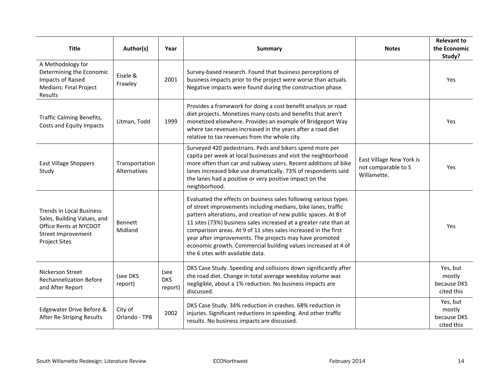| <b>Title</b>                                                                                                                           | Author(s)                      | Year                          | Summary                                                                                                                                                                                                                                                                                                                                                                                                                                                                                                     | <b>Notes</b>                                                   | <b>Relevant to</b><br>the Economic<br>Study?    |
|----------------------------------------------------------------------------------------------------------------------------------------|--------------------------------|-------------------------------|-------------------------------------------------------------------------------------------------------------------------------------------------------------------------------------------------------------------------------------------------------------------------------------------------------------------------------------------------------------------------------------------------------------------------------------------------------------------------------------------------------------|----------------------------------------------------------------|-------------------------------------------------|
| A Methodology for<br>Determining the Economic<br>Impacts of Raised<br><b>Medians: Final Project</b><br>Results                         | Eisele &<br>Frawley            | 2001                          | Survey-based research. Found that business perceptions of<br>business impacts prior to the project were worse than actuals.<br>Negative impacts were found during the construction phase.                                                                                                                                                                                                                                                                                                                   |                                                                | Yes                                             |
| Traffic Calming Benefits,<br>Costs and Equity Impacts                                                                                  | Litman, Todd                   | 1999                          | Provides a framework for doing a cost benefit analysis or road<br>diet projects. Monetizes many costs and benefits that aren't<br>monetized elsewhere. Provides an example of Bridgeport Way<br>where tax revenues increased in the years after a road diet<br>relative to tax revenues from the whole city.                                                                                                                                                                                                |                                                                | Yes                                             |
| <b>East Village Shoppers</b><br>Study                                                                                                  | Transportation<br>Alternatives |                               | Surveyed 420 pedestrians. Peds and bikers spend more per<br>capita per week at local businesses and visit the neighborhood<br>more often than car and subway users. Recent additions of bike<br>lanes increased bike use dramatically. 73% of respondents said<br>the lanes had a positive or very positive impact on the<br>neighborhood.                                                                                                                                                                  | East Village New York is<br>not comparable to S<br>Willamette. | Yes                                             |
| <b>Trends in Local Business</b><br>Sales, Building Values, and<br>Office Rents at NYCDOT<br>Street Improvement<br><b>Project Sites</b> | Bennett<br>Midland             |                               | Evaluated the effects on business sales following various types<br>of street improvements including medians, bike lanes, traffic<br>pattern alterations, and creation of new public spaces. At 8 of<br>11 sites (73%) business sales increased at a greater rate than at<br>comparison areas. At 9 of 11 sites sales increased in the first<br>year after improvements. The projects may have promoted<br>economic growth. Commercial building values increased at 4 of<br>the 6 sites with available data. |                                                                | Yes                                             |
| Nickerson Street<br><b>Rechannelization Before</b><br>and After Report                                                                 | (see DKS<br>report)            | (see<br><b>DKS</b><br>report) | DKS Case Study. Speeding and collisions down significantly after<br>the road diet. Change in total average weekday volume was<br>negligible, about a 1% reduction. No business impacts are<br>discussed.                                                                                                                                                                                                                                                                                                    |                                                                | Yes, but<br>mostly<br>because DKS<br>cited this |
| Edgewater Drive Before &<br>After Re-Striping Results                                                                                  | City of<br>Orlando - TPB       | 2002                          | DKS Case Study. 34% reduction in crashes. 68% reduction in<br>injuries. Significant reductions in speeding. And other traffic<br>results. No business impacts are discussed.                                                                                                                                                                                                                                                                                                                                |                                                                | Yes, but<br>mostly<br>because DKS<br>cited this |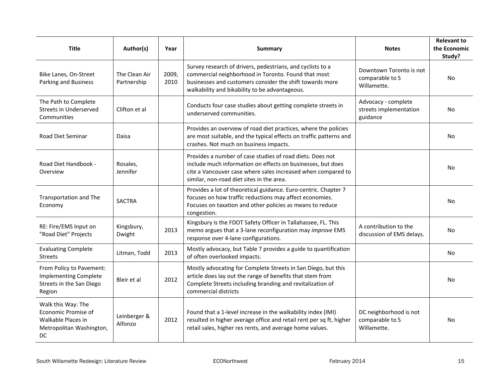| <b>Title</b>                                                                                       | Author(s)                    | Year          | <b>Summary</b>                                                                                                                                                                                                                        | <b>Notes</b>                                              | <b>Relevant to</b><br>the Economic<br>Study? |
|----------------------------------------------------------------------------------------------------|------------------------------|---------------|---------------------------------------------------------------------------------------------------------------------------------------------------------------------------------------------------------------------------------------|-----------------------------------------------------------|----------------------------------------------|
| Bike Lanes, On-Street<br>Parking and Business                                                      | The Clean Air<br>Partnership | 2009,<br>2010 | Survey research of drivers, pedestrians, and cyclists to a<br>commercial neighborhood in Toronto. Found that most<br>businesses and customers consider the shift towards more<br>walkability and bikability to be advantageous.       | Downtown Toronto is not<br>comparable to S<br>Willamette. | No                                           |
| The Path to Complete<br>Streets in Underserved<br>Communities                                      | Clifton et al                |               | Conducts four case studies about getting complete streets in<br>underserved communities.                                                                                                                                              | Advocacy - complete<br>streets implementation<br>guidance | No                                           |
| <b>Road Diet Seminar</b>                                                                           | Daisa                        |               | Provides an overview of road diet practices, where the policies<br>are most suitable, and the typical effects on traffic patterns and<br>crashes. Not much on business impacts.                                                       |                                                           | No                                           |
| Road Diet Handbook -<br>Overview                                                                   | Rosales.<br>Jennifer         |               | Provides a number of case studies of road diets. Does not<br>include much information on effects on businesses, but does<br>cite a Vancouver case where sales increased when compared to<br>similar, non-road diet sites in the area. |                                                           | No                                           |
| Transportation and The<br>Economy                                                                  | <b>SACTRA</b>                |               | Provides a lot of theoretical guidance. Euro-centric. Chapter 7<br>focuses on how traffic reductions may affect economies.<br>Focuses on taxation and other policies as means to reduce<br>congestion.                                |                                                           | No                                           |
| RE: Fire/EMS Input on<br>"Road Diet" Projects                                                      | Kingsbury,<br>Dwight         | 2013          | Kingsbury is the FDOT Safety Officer in Tallahassee, FL. This<br>memo argues that a 3-lane reconfiguration may improve EMS<br>response over 4-lane configurations.                                                                    | A contribution to the<br>discussion of EMS delays.        | No                                           |
| <b>Evaluating Complete</b><br><b>Streets</b>                                                       | Litman, Todd                 | 2013          | Mostly advocacy, but Table 7 provides a guide to quantification<br>of often overlooked impacts.                                                                                                                                       |                                                           | No                                           |
| From Policy to Pavement:<br><b>Implementing Complete</b><br>Streets in the San Diego<br>Region     | Bleir et al                  | 2012          | Mostly advocating for Complete Streets in San Diego, but this<br>article does lay out the range of benefits that stem from<br>Complete Streets including branding and revitalization of<br>commercial districts                       |                                                           | No                                           |
| Walk this Way: The<br>Economic Promise of<br>Walkable Places in<br>Metropolitan Washington,<br>DC. | Leinberger &<br>Alfonzo      | 2012          | Found that a 1-level increase in the walkability index (IMI)<br>resulted in higher average office and retail rent per sq ft, higher<br>retail sales, higher res rents, and average home values.                                       | DC neighborhood is not<br>comparable to S<br>Willamette.  | No                                           |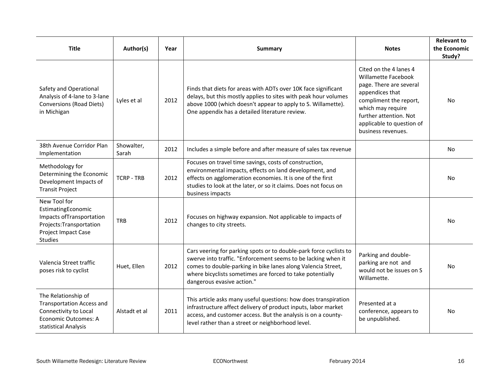| <b>Title</b>                                                                                                                        | Author(s)           | Year | <b>Summary</b>                                                                                                                                                                                                                                                                                 | <b>Notes</b>                                                                                                                                                                                                            | <b>Relevant to</b><br>the Economic<br>Study? |
|-------------------------------------------------------------------------------------------------------------------------------------|---------------------|------|------------------------------------------------------------------------------------------------------------------------------------------------------------------------------------------------------------------------------------------------------------------------------------------------|-------------------------------------------------------------------------------------------------------------------------------------------------------------------------------------------------------------------------|----------------------------------------------|
| Safety and Operational<br>Analysis of 4-lane to 3-lane<br>Conversions (Road Diets)<br>in Michigan                                   | Lyles et al         | 2012 | Finds that diets for areas with ADTs over 10K face significant<br>delays, but this mostly applies to sites with peak hour volumes<br>above 1000 (which doesn't appear to apply to S. Willamette).<br>One appendix has a detailed literature review.                                            | Cited on the 4 lanes 4<br>Willamette Facebook<br>page. There are several<br>appendices that<br>compliment the report,<br>which may require<br>further attention. Not<br>applicable to question of<br>business revenues. | No                                           |
| 38th Avenue Corridor Plan<br>Implementation                                                                                         | Showalter,<br>Sarah | 2012 | Includes a simple before and after measure of sales tax revenue                                                                                                                                                                                                                                |                                                                                                                                                                                                                         | No                                           |
| Methodology for<br>Determining the Economic<br>Development Impacts of<br><b>Transit Project</b>                                     | <b>TCRP - TRB</b>   | 2012 | Focuses on travel time savings, costs of construction,<br>environmental impacts, effects on land development, and<br>effects on agglomeration economies. It is one of the first<br>studies to look at the later, or so it claims. Does not focus on<br>business impacts                        |                                                                                                                                                                                                                         | No.                                          |
| New Tool for<br>EstimatingEconomic<br>Impacts ofTransportation<br>Projects: Transportation<br>Project Impact Case<br><b>Studies</b> | <b>TRB</b>          | 2012 | Focuses on highway expansion. Not applicable to impacts of<br>changes to city streets.                                                                                                                                                                                                         |                                                                                                                                                                                                                         | No.                                          |
| Valencia Street traffic<br>poses risk to cyclist                                                                                    | Huet, Ellen         | 2012 | Cars veering for parking spots or to double-park force cyclists to<br>swerve into traffic. "Enforcement seems to be lacking when it<br>comes to double-parking in bike lanes along Valencia Street,<br>where bicyclists sometimes are forced to take potentially<br>dangerous evasive action." | Parking and double-<br>parking are not and<br>would not be issues on S<br>Willamette.                                                                                                                                   | No                                           |
| The Relationship of<br><b>Transportation Access and</b><br>Connectivity to Local<br>Economic Outcomes: A<br>statistical Analysis    | Alstadt et al       | 2011 | This article asks many useful questions: how does transpiration<br>infrastructure affect delivery of product inputs, labor market<br>access, and customer access. But the analysis is on a county-<br>level rather than a street or neighborhood level.                                        | Presented at a<br>conference, appears to<br>be unpublished.                                                                                                                                                             | No                                           |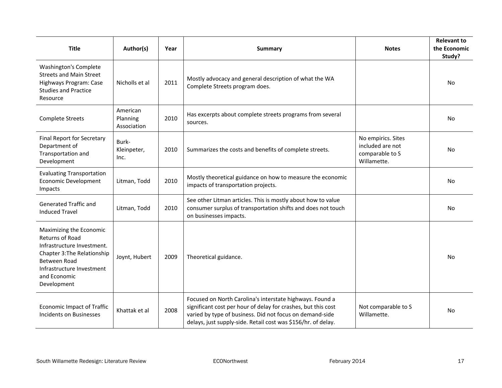| <b>Title</b>                                                                                                                                                                                      | Author(s)                           | Year | Summary                                                                                                                                                                                                                                                | <b>Notes</b>                                                             | <b>Relevant to</b><br>the Economic<br>Study? |
|---------------------------------------------------------------------------------------------------------------------------------------------------------------------------------------------------|-------------------------------------|------|--------------------------------------------------------------------------------------------------------------------------------------------------------------------------------------------------------------------------------------------------------|--------------------------------------------------------------------------|----------------------------------------------|
| Washington's Complete<br><b>Streets and Main Street</b><br>Highways Program: Case<br><b>Studies and Practice</b><br>Resource                                                                      | Nicholls et al                      | 2011 | Mostly advocacy and general description of what the WA<br>Complete Streets program does.                                                                                                                                                               |                                                                          | No                                           |
| <b>Complete Streets</b>                                                                                                                                                                           | American<br>Planning<br>Association | 2010 | Has excerpts about complete streets programs from several<br>sources.                                                                                                                                                                                  |                                                                          | <b>No</b>                                    |
| <b>Final Report for Secretary</b><br>Department of<br>Transportation and<br>Development                                                                                                           | Burk-<br>Kleinpeter,<br>Inc.        | 2010 | Summarizes the costs and benefits of complete streets.                                                                                                                                                                                                 | No empirics. Sites<br>included are not<br>comparable to S<br>Willamette. | N <sub>o</sub>                               |
| <b>Evaluating Transportation</b><br>Economic Development<br>Impacts                                                                                                                               | Litman, Todd                        | 2010 | Mostly theoretical guidance on how to measure the economic<br>impacts of transportation projects.                                                                                                                                                      |                                                                          | <b>No</b>                                    |
| Generated Traffic and<br><b>Induced Travel</b>                                                                                                                                                    | Litman, Todd                        | 2010 | See other Litman articles. This is mostly about how to value<br>consumer surplus of transportation shifts and does not touch<br>on businesses impacts.                                                                                                 |                                                                          | <b>No</b>                                    |
| Maximizing the Economic<br><b>Returns of Road</b><br>Infrastructure Investment.<br>Chapter 3: The Relationship<br><b>Between Road</b><br>Infrastructure Investment<br>and Economic<br>Development | Joynt, Hubert                       | 2009 | Theoretical guidance.                                                                                                                                                                                                                                  |                                                                          | N <sub>o</sub>                               |
| <b>Economic Impact of Traffic</b><br>Incidents on Businesses                                                                                                                                      | Khattak et al                       | 2008 | Focused on North Carolina's interstate highways. Found a<br>significant cost per hour of delay for crashes, but this cost<br>varied by type of business. Did not focus on demand-side<br>delays, just supply-side. Retail cost was \$156/hr. of delay. | Not comparable to S<br>Willamette.                                       | No.                                          |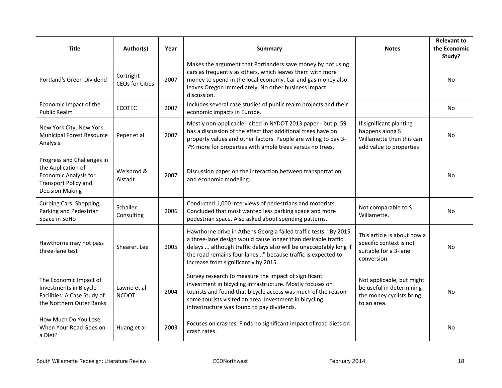| <b>Title</b>                                                                                                                              | Author(s)                             | Year | <b>Summary</b>                                                                                                                                                                                                                                                                                                 | <b>Notes</b>                                                                                      | <b>Relevant to</b><br>the Economic<br>Study? |
|-------------------------------------------------------------------------------------------------------------------------------------------|---------------------------------------|------|----------------------------------------------------------------------------------------------------------------------------------------------------------------------------------------------------------------------------------------------------------------------------------------------------------------|---------------------------------------------------------------------------------------------------|----------------------------------------------|
| Portland's Green Dividend                                                                                                                 | Cortright -<br><b>CEOs for Cities</b> | 2007 | Makes the argument that Portlanders save money by not using<br>cars as frequently as others, which leaves them with more<br>money to spend in the local economy. Car and gas money also<br>leaves Oregon immediately. No other business impact<br>discussion.                                                  |                                                                                                   | No.                                          |
| Economic Impact of the<br><b>Public Realm</b>                                                                                             | <b>ECOTEC</b>                         | 2007 | Includes several case studies of public realm projects and their<br>economic impacts in Europe.                                                                                                                                                                                                                |                                                                                                   | No                                           |
| New York City, New York<br><b>Municipal Forest Resource</b><br>Analysis                                                                   | Peper et al                           | 2007 | Mostly non-applicable - cited in NYDOT 2013 paper - but p. 59<br>has a discussion of the effect that additional trees have on<br>property values and other factors. People are willing to pay 3-<br>7% more for properties with ample trees versus no trees.                                                   | If significant planting<br>happens along S<br>Willamette then this can<br>add value to properties | No                                           |
| Progress and Challenges in<br>the Application of<br><b>Economic Analysis for</b><br><b>Transport Policy and</b><br><b>Decision Making</b> | Weisbrod &<br>Alstadt                 | 2007 | Discussion paper on the interaction between transportation<br>and economic modeling.                                                                                                                                                                                                                           |                                                                                                   | No                                           |
| Curbing Cars: Shopping,<br>Parking and Pedestrian<br>Space in SoHo                                                                        | Schaller<br>Consulting                | 2006 | Conducted 1,000 interviews of pedestrians and motorists.<br>Concluded that most wanted less parking space and more<br>pedestrian space. Also asked about spending patterns.                                                                                                                                    | Not comparable to S.<br>Willamette.                                                               | No                                           |
| Hawthorne may not pass<br>three-lane test                                                                                                 | Shearer, Lee                          | 2005 | Hawthorne drive in Athens Georgia failed traffic tests. "By 2015,<br>a three-lane design would cause longer than desirable traffic<br>delays  although traffic delays also will be unacceptably long if<br>the road remains four lanes" because traffic is expected to<br>increase from significantly by 2015. | This article is about how a<br>specific context is not<br>suitable for a 3-lane<br>conversion.    | No.                                          |
| The Economic Impact of<br>Investments in Bicycle<br>Facilities: A Case Study of<br>the Northern Outer Banks                               | Lawrie et al -<br><b>NCDOT</b>        | 2004 | Survey research to measure the impact of significant<br>investment in bicycling infrastructure. Mostly focuses on<br>tourists and found that bicycle access was much of the reason<br>some tourists visited an area. Investment in bicycling<br>infrastructure was found to pay dividends.                     | Not applicable, but might<br>be useful in determining<br>the money cyclists bring<br>to an area.  | <b>No</b>                                    |
| How Much Do You Lose<br>When Your Road Goes on<br>a Diet?                                                                                 | Huang et al                           | 2003 | Focuses on crashes. Finds no significant impact of road diets on<br>crash rates.                                                                                                                                                                                                                               |                                                                                                   | No.                                          |